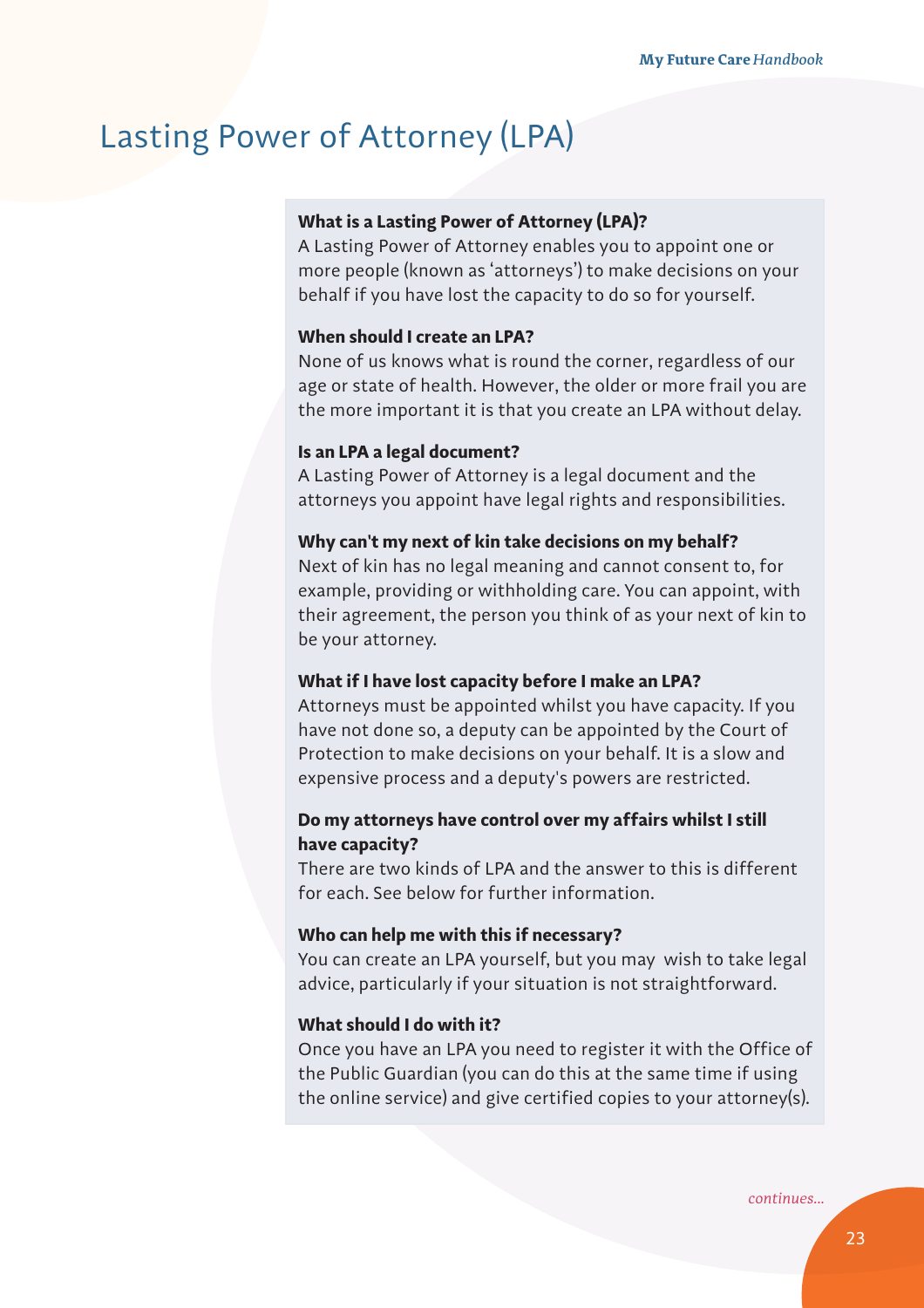## Lasting Power of Attorney (LPA)

## **What is a Lasting Power of Attorney (LPA)?**

A Lasting Power of Attorney enables you to appoint one or more people (known as 'attorneys') to make decisions on your behalf if you have lost the capacity to do so for yourself.

## **When should I create an LPA?**

None of us knows what is round the corner, regardless of our age or state of health. However, the older or more frail you are the more important it is that you create an LPA without delay.

#### **Is an LPA a legal document?**

A Lasting Power of Attorney is a legal document and the attorneys you appoint have legal rights and responsibilities.

#### **Why can't my next of kin take decisions on my behalf?**

Next of kin has no legal meaning and cannot consent to, for example, providing or withholding care. You can appoint, with their agreement, the person you think of as your next of kin to be your attorney.

#### **What if I have lost capacity before I make an LPA?**

Attorneys must be appointed whilst you have capacity. If you have not done so, a deputy can be appointed by the Court of Protection to make decisions on your behalf. It is a slow and expensive process and a deputy's powers are restricted.

## **Do my attorneys have control over my affairs whilst I still have capacity?**

There are two kinds of LPA and the answer to this is different for each. See below for further information.

#### **Who can help me with this if necessary?**

You can create an LPA yourself, but you may wish to take legal advice, particularly if your situation is not straightforward.

#### **What should I do with it?**

Once you have an LPA you need to register it with the Office of the Public Guardian (you can do this at the same time if using the online service) and give certified copies to your attorney(s).

*continues...*